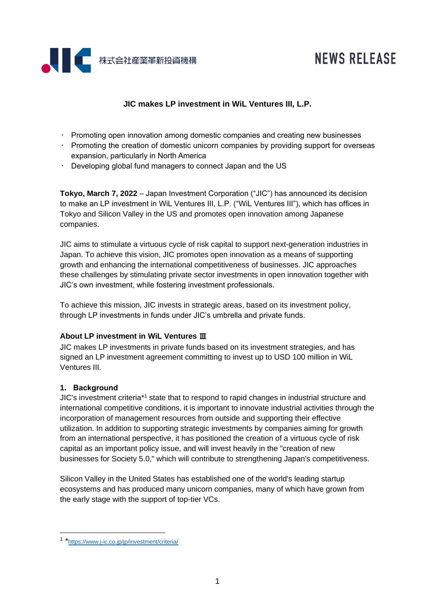

# **NEWS RELEASE**

## **JIC makes LP investment in WiL Ventures III, L.P.**

- $\cdot$  Promoting open innovation among domestic companies and creating new businesses
- $\cdot$  Promoting the creation of domestic unicorn companies by providing support for overseas expansion, particularly in North America
- Developing global fund managers to connect Japan and the US

**Tokyo, March 7, 2022** – Japan Investment Corporation ("JIC") has announced its decision to make an LP investment in WiL Ventures III, L.P. ("WiL Ventures III"), which has offices in Tokyo and Silicon Valley in the US and promotes open innovation among Japanese companies.

JIC aims to stimulate a virtuous cycle of risk capital to support next-generation industries in Japan. To achieve this vision, JIC promotes open innovation as a means of supporting growth and enhancing the international competitiveness of businesses. JIC approaches these challenges by stimulating private sector investments in open innovation together with JIC's own investment, while fostering investment professionals.

To achieve this mission, JIC invests in strategic areas, based on its investment policy, through LP investments in funds under JIC's umbrella and private funds.

### **About LP investment in WiL Ventures** Ⅲ

JIC makes LP investments in private funds based on its investment strategies, and has signed an LP investment agreement committing to invest up to USD 100 million in WiL Ventures III.

### **1. Background**

JIC's investment criteria\*<sup>1</sup> state that to respond to rapid changes in industrial structure and international competitive conditions, it is important to innovate industrial activities through the incorporation of management resources from outside and supporting their effective utilization. In addition to supporting strategic investments by companies aiming for growth from an international perspective, it has positioned the creation of a virtuous cycle of risk capital as an important policy issue, and will invest heavily in the "creation of new businesses for Society 5.0," which will contribute to strengthening Japan's competitiveness.

Silicon Valley in the United States has established one of the world's leading startup ecosystems and has produced many unicorn companies, many of which have grown from the early stage with the support of top-tier VCs.

<sup>1 \*</sup><https://www.j-ic.co.jp/jp/investment/criteria/>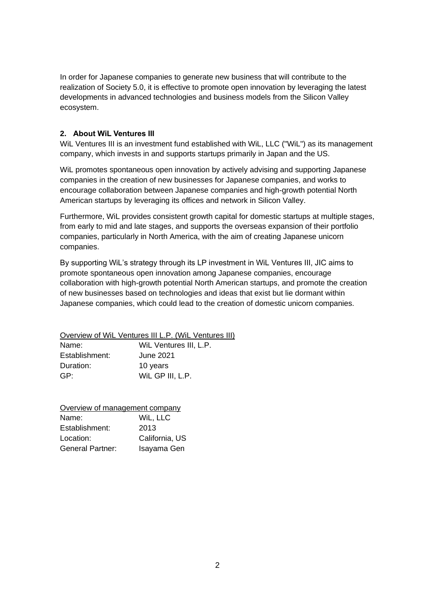In order for Japanese companies to generate new business that will contribute to the realization of Society 5.0, it is effective to promote open innovation by leveraging the latest developments in advanced technologies and business models from the Silicon Valley ecosystem.

#### **2. About WiL Ventures III**

WiL Ventures III is an investment fund established with WiL, LLC ("WiL") as its management company, which invests in and supports startups primarily in Japan and the US.

WiL promotes spontaneous open innovation by actively advising and supporting Japanese companies in the creation of new businesses for Japanese companies, and works to encourage collaboration between Japanese companies and high-growth potential North American startups by leveraging its offices and network in Silicon Valley.

Furthermore, WiL provides consistent growth capital for domestic startups at multiple stages, from early to mid and late stages, and supports the overseas expansion of their portfolio companies, particularly in North America, with the aim of creating Japanese unicorn companies.

By supporting WiL's strategy through its LP investment in WiL Ventures III, JIC aims to promote spontaneous open innovation among Japanese companies, encourage collaboration with high-growth potential North American startups, and promote the creation of new businesses based on technologies and ideas that exist but lie dormant within Japanese companies, which could lead to the creation of domestic unicorn companies.

Overview of WiL Ventures III L.P. (WiL Ventures III) Name: WiL Ventures III, L.P. Establishment: June 2021 Duration: 10 years GP: WiL GP III, L.P.

Overview of management company Name: WiL, LLC Establishment: 2013 Location: California, US General Partner: Isayama Gen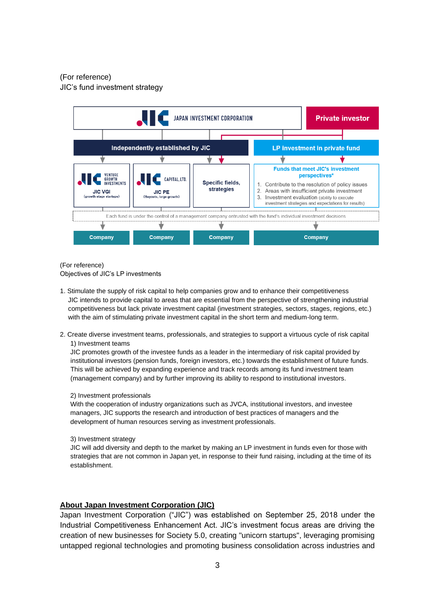#### (For reference)

JIC's fund investment strategy



(For reference)

Objectives of JIC's LP investments

- 1. Stimulate the supply of risk capital to help companies grow and to enhance their competitiveness JIC intends to provide capital to areas that are essential from the perspective of strengthening industrial competitiveness but lack private investment capital (investment strategies, sectors, stages, regions, etc.) with the aim of stimulating private investment capital in the short term and medium-long term.
- 2. Create diverse investment teams, professionals, and strategies to support a virtuous cycle of risk capital 1) Investment teams

JIC promotes growth of the investee funds as a leader in the intermediary of risk capital provided by institutional investors (pension funds, foreign investors, etc.) towards the establishment of future funds. This will be achieved by expanding experience and track records among its fund investment team (management company) and by further improving its ability to respond to institutional investors.

#### 2) Investment professionals

With the cooperation of industry organizations such as JVCA, institutional investors, and investee managers, JIC supports the research and introduction of best practices of managers and the development of human resources serving as investment professionals.

3) Investment strategy

JIC will add diversity and depth to the market by making an LP investment in funds even for those with strategies that are not common in Japan yet, in response to their fund raising, including at the time of its establishment.

#### **About Japan Investment Corporation (JIC)**

Japan Investment Corporation ("JIC") was established on September 25, 2018 under the Industrial Competitiveness Enhancement Act. JIC's investment focus areas are driving the creation of new businesses for Society 5.0, creating "unicorn startups", leveraging promising untapped regional technologies and promoting business consolidation across industries and